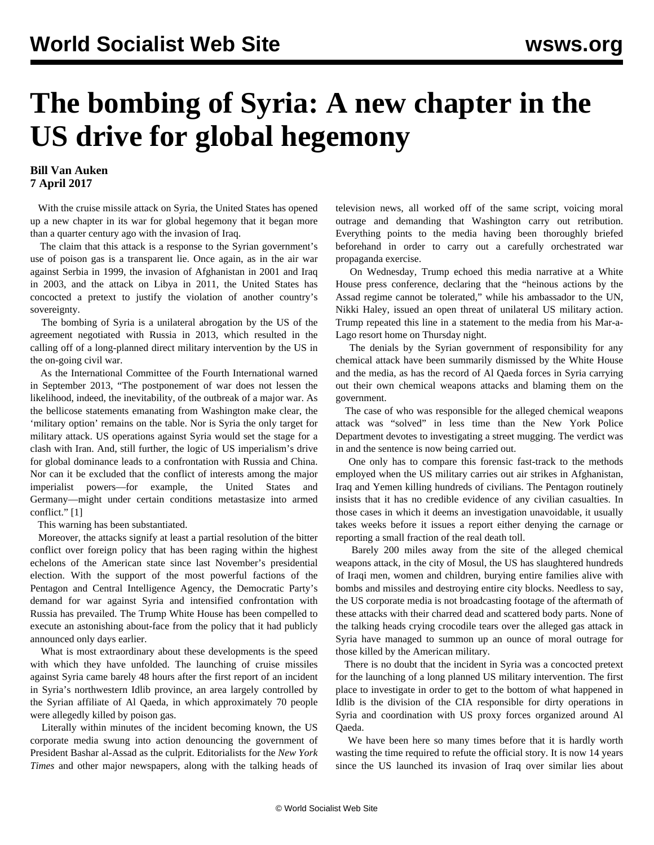## **The bombing of Syria: A new chapter in the US drive for global hegemony**

## **Bill Van Auken 7 April 2017**

 With the cruise missile attack on Syria, the United States has opened up a new chapter in its war for global hegemony that it began more than a quarter century ago with the invasion of Iraq.

 The claim that this attack is a response to the Syrian government's use of poison gas is a transparent lie. Once again, as in the air war against Serbia in 1999, the invasion of Afghanistan in 2001 and Iraq in 2003, and the attack on Libya in 2011, the United States has concocted a pretext to justify the violation of another country's sovereignty.

 The bombing of Syria is a unilateral abrogation by the US of the agreement negotiated with Russia in 2013, which resulted in the calling off of a long-planned direct military intervention by the US in the on-going civil war.

 As the International Committee of the Fourth International warned in September 2013, "The postponement of war does not lessen the likelihood, indeed, the inevitability, of the outbreak of a major war. As the bellicose statements emanating from Washington make clear, the 'military option' remains on the table. Nor is Syria the only target for military attack. US operations against Syria would set the stage for a clash with Iran. And, still further, the logic of US imperialism's drive for global dominance leads to a confrontation with Russia and China. Nor can it be excluded that the conflict of interests among the major imperialist powers—for example, the United States and Germany—might under certain conditions metastasize into armed conflict." [1]

This warning has been substantiated.

 Moreover, the attacks signify at least a partial resolution of the bitter conflict over foreign policy that has been raging within the highest echelons of the American state since last November's presidential election. With the support of the most powerful factions of the Pentagon and Central Intelligence Agency, the Democratic Party's demand for war against Syria and intensified confrontation with Russia has prevailed. The Trump White House has been compelled to execute an astonishing about-face from the policy that it had publicly announced only days earlier.

 What is most extraordinary about these developments is the speed with which they have unfolded. The launching of cruise missiles against Syria came barely 48 hours after the first report of an incident in Syria's northwestern Idlib province, an area largely controlled by the Syrian affiliate of Al Qaeda, in which approximately 70 people were allegedly killed by poison gas.

 Literally within minutes of the incident becoming known, the US corporate media swung into action denouncing the government of President Bashar al-Assad as the culprit. Editorialists for the *New York Times* and other major newspapers, along with the talking heads of television news, all worked off of the same script, voicing moral outrage and demanding that Washington carry out retribution. Everything points to the media having been thoroughly briefed beforehand in order to carry out a carefully orchestrated war propaganda exercise.

 On Wednesday, Trump echoed this media narrative at a White House press conference, declaring that the "heinous actions by the Assad regime cannot be tolerated," while his ambassador to the UN, Nikki Haley, issued an open threat of unilateral US military action. Trump repeated this line in a statement to the media from his Mar-a-Lago resort home on Thursday night.

 The denials by the Syrian government of responsibility for any chemical attack have been summarily dismissed by the White House and the media, as has the record of Al Qaeda forces in Syria carrying out their own chemical weapons attacks and blaming them on the government.

 The case of who was responsible for the alleged chemical weapons attack was "solved" in less time than the New York Police Department devotes to investigating a street mugging. The verdict was in and the sentence is now being carried out.

 One only has to compare this forensic fast-track to the methods employed when the US military carries out air strikes in Afghanistan, Iraq and Yemen killing hundreds of civilians. The Pentagon routinely insists that it has no credible evidence of any civilian casualties. In those cases in which it deems an investigation unavoidable, it usually takes weeks before it issues a report either denying the carnage or reporting a small fraction of the real death toll.

 Barely 200 miles away from the site of the alleged chemical weapons attack, in the city of Mosul, the US has slaughtered hundreds of Iraqi men, women and children, burying entire families alive with bombs and missiles and destroying entire city blocks. Needless to say, the US corporate media is not broadcasting footage of the aftermath of these attacks with their charred dead and scattered body parts. None of the talking heads crying crocodile tears over the alleged gas attack in Syria have managed to summon up an ounce of moral outrage for those killed by the American military.

 There is no doubt that the incident in Syria was a concocted pretext for the launching of a long planned US military intervention. The first place to investigate in order to get to the bottom of what happened in Idlib is the division of the CIA responsible for dirty operations in Syria and coordination with US proxy forces organized around Al Qaeda.

We have been here so many times before that it is hardly worth wasting the time required to refute the official story. It is now 14 years since the US launched its invasion of Iraq over similar lies about